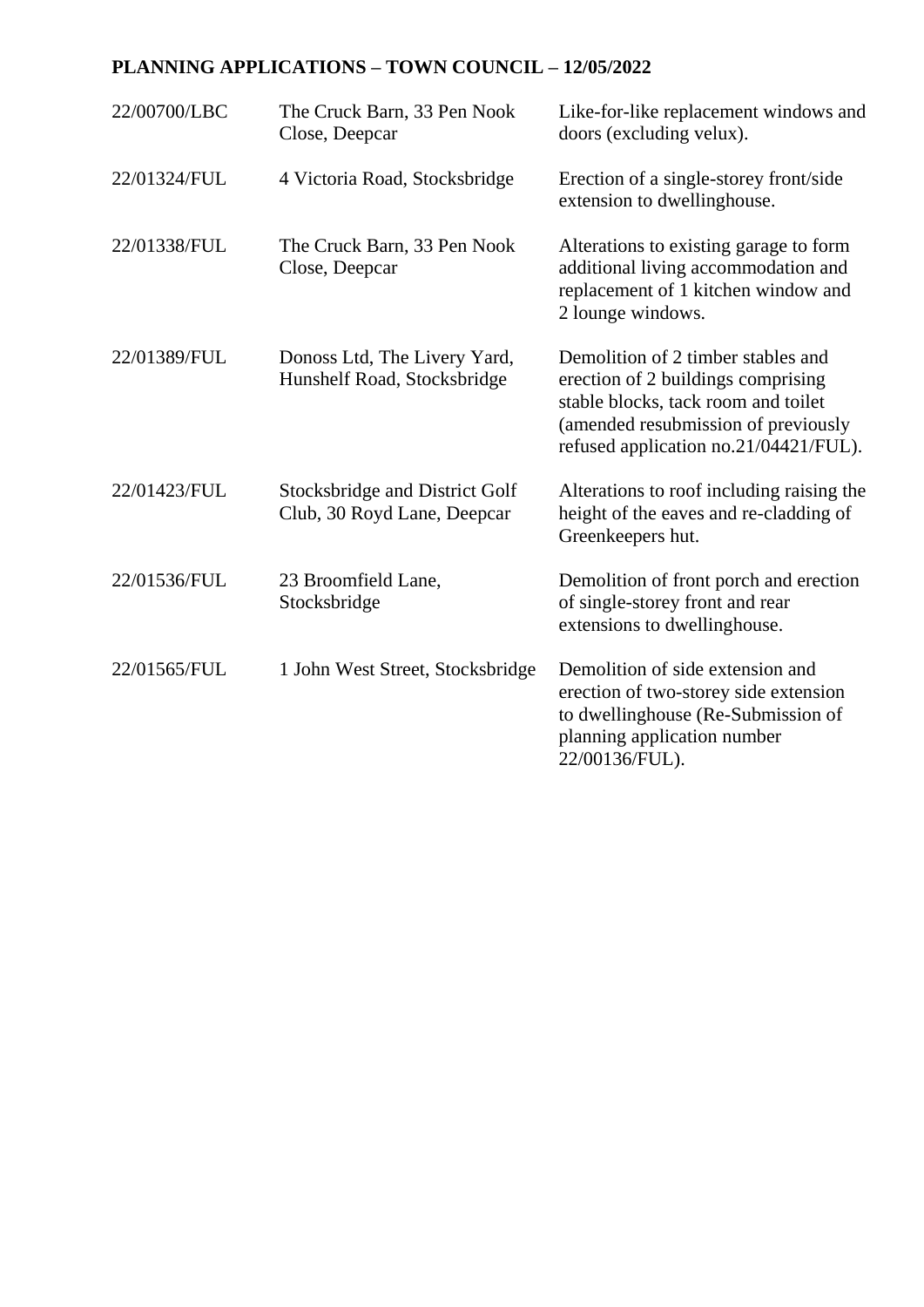## **PLANNING APPLICATIONS – TOWN COUNCIL – 12/05/2022**

| 22/00700/LBC | The Cruck Barn, 33 Pen Nook<br>Close, Deepcar                 | Like-for-like replacement windows and<br>doors (excluding velux).                                                                                                                               |
|--------------|---------------------------------------------------------------|-------------------------------------------------------------------------------------------------------------------------------------------------------------------------------------------------|
| 22/01324/FUL | 4 Victoria Road, Stocksbridge                                 | Erection of a single-storey front/side<br>extension to dwellinghouse.                                                                                                                           |
| 22/01338/FUL | The Cruck Barn, 33 Pen Nook<br>Close, Deepcar                 | Alterations to existing garage to form<br>additional living accommodation and<br>replacement of 1 kitchen window and<br>2 lounge windows.                                                       |
| 22/01389/FUL | Donoss Ltd, The Livery Yard,<br>Hunshelf Road, Stocksbridge   | Demolition of 2 timber stables and<br>erection of 2 buildings comprising<br>stable blocks, tack room and toilet<br>(amended resubmission of previously<br>refused application no.21/04421/FUL). |
| 22/01423/FUL | Stocksbridge and District Golf<br>Club, 30 Royd Lane, Deepcar | Alterations to roof including raising the<br>height of the eaves and re-cladding of<br>Greenkeepers hut.                                                                                        |
| 22/01536/FUL | 23 Broomfield Lane,<br>Stocksbridge                           | Demolition of front porch and erection<br>of single-storey front and rear<br>extensions to dwellinghouse.                                                                                       |
| 22/01565/FUL | 1 John West Street, Stocksbridge                              | Demolition of side extension and<br>erection of two-storey side extension<br>to dwellinghouse (Re-Submission of<br>planning application number<br>22/00136/FUL).                                |